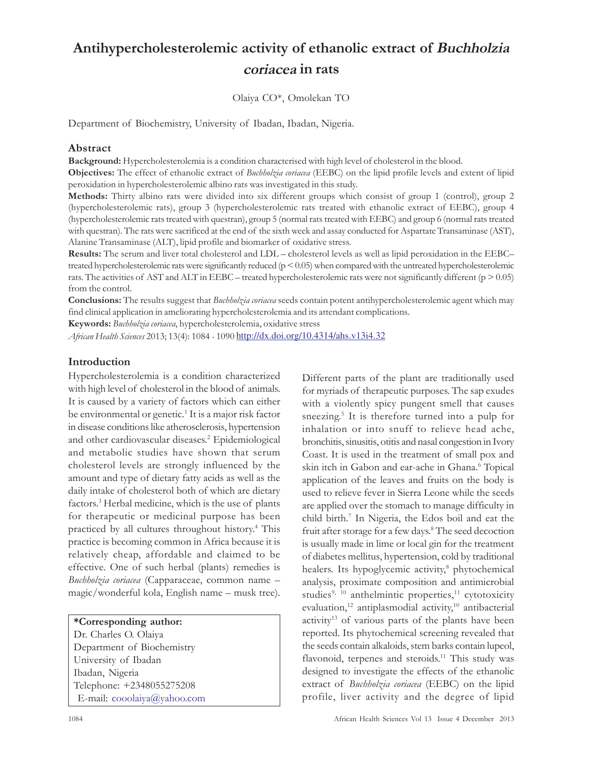# Antihypercholesterolemic activity of ethanolic extract of Buchholzia coriacea in rats

Olaiya CO\*, Omolekan TO

Department of Biochemistry, University of Ibadan, Ibadan, Nigeria.

## Abstract

Background: Hypercholesterolemia is a condition characterised with high level of cholesterol in the blood.

Objectives: The effect of ethanolic extract of Buchholzia coriacea (EEBC) on the lipid profile levels and extent of lipid peroxidation in hypercholesterolemic albino rats was investigated in this study.

Methods: Thirty albino rats were divided into six different groups which consist of group 1 (control), group 2 (hypercholesterolemic rats), group 3 (hypercholesterolemic rats treated with ethanolic extract of EEBC), group 4 (hypercholesterolemic rats treated with questran), group 5 (normal rats treated with EEBC) and group 6 (normal rats treated with questran). The rats were sacrificed at the end of the sixth week and assay conducted for Aspartate Transaminase (AST), Alanine Transaminase (ALT), lipid profile and biomarker of oxidative stress.

Results: The serum and liver total cholesterol and LDL – cholesterol levels as well as lipid peroxidation in the EEBC– treated hypercholesterolemic rats were significantly reduced (p < 0.05) when compared with the untreated hypercholesterolemic rats. The activities of AST and ALT in EEBC – treated hypercholesterolemic rats were not significantly different ( $p > 0.05$ ) from the control.

**Conclusions:** The results suggest that *Buchholzia coriacea* seeds contain potent antihypercholesterolemic agent which may find clinical application in ameliorating hypercholesterolemia and its attendant complications.

Keywords: Buchholzia coriacea, hypercholesterolemia, oxidative stress

African Health Sciences 2013; 13(4): 1084 - 1090 http://dx.doi.org/10.4314/ahs.v13i4.32

# Introduction

Hypercholesterolemia is a condition characterized with high level of cholesterol in the blood of animals. It is caused by a variety of factors which can either be environmental or genetic.<sup>1</sup> It is a major risk factor in disease conditions like atherosclerosis, hypertension and other cardiovascular diseases. 2 Epidemiological and metabolic studies have shown that serum cholesterol levels are strongly influenced by the amount and type of dietary fatty acids as well as the daily intake of cholesterol both of which are dietary factors.<sup>3</sup> Herbal medicine, which is the use of plants for therapeutic or medicinal purpose has been practiced by all cultures throughout history.<sup>4</sup> This practice is becoming common in Africa because it is relatively cheap, affordable and claimed to be effective. One of such herbal (plants) remedies is Buchholzia coriacea (Capparaceae, common name magic/wonderful kola, English name – musk tree).

\*Corresponding author: Dr. Charles O. Olaiya Department of Biochemistry University of Ibadan Ibadan, Nigeria Telephone: +2348055275208 E-mail: cooolaiya@yahoo.com Different parts of the plant are traditionally used for myriads of therapeutic purposes. The sap exudes with a violently spicy pungent smell that causes sneezing. 5 It is therefore turned into a pulp for inhalation or into snuff to relieve head ache, bronchitis, sinusitis, otitis and nasal congestion in Ivory Coast. It is used in the treatment of small pox and skin itch in Gabon and ear-ache in Ghana.<sup>6</sup> Topical application of the leaves and fruits on the body is used to relieve fever in Sierra Leone while the seeds are applied over the stomach to manage difficulty in child birth.<sup>7</sup> In Nigeria, the Edos boil and eat the fruit after storage for a few days. 8 The seed decoction is usually made in lime or local gin for the treatment of diabetes mellitus, hypertension, cold by traditional healers. Its hypoglycemic activity, 8 phytochemical analysis, proximate composition and antimicrobial studies<sup>9, 10</sup> anthelmintic properties,<sup>11</sup> cytotoxicity evaluation,<sup>12</sup> antiplasmodial activity,<sup>10</sup> antibacterial activity<sup>13</sup> of various parts of the plants have been reported. Its phytochemical screening revealed that the seeds contain alkaloids, stem barks contain lupeol, flavonoid, terpenes and steroids.<sup>11</sup> This study was designed to investigate the effects of the ethanolic extract of Buchholzia coriacea (EEBC) on the lipid profile, liver activity and the degree of lipid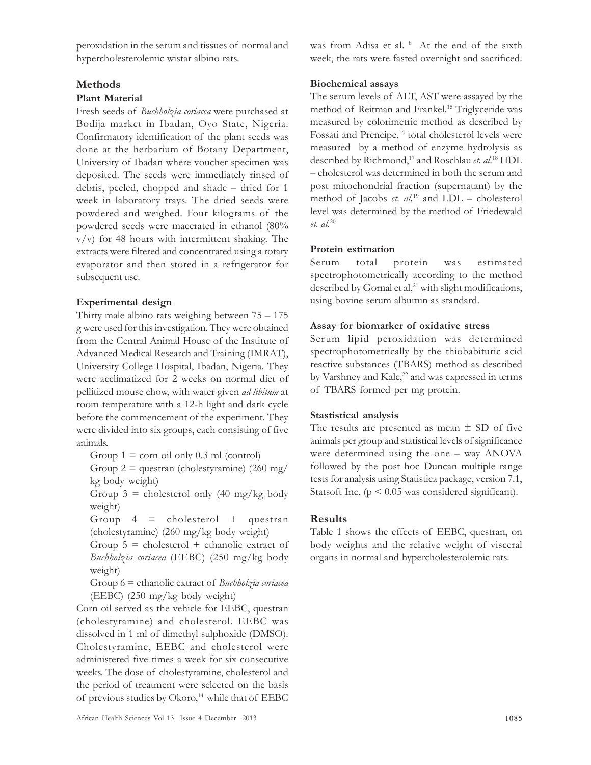peroxidation in the serum and tissues of normal and hypercholesterolemic wistar albino rats.

## **Methods**

#### Plant Material

Fresh seeds of Buchholzia coriacea were purchased at Bodija market in Ibadan, Oyo State, Nigeria. Confirmatory identification of the plant seeds was done at the herbarium of Botany Department, University of Ibadan where voucher specimen was deposited. The seeds were immediately rinsed of debris, peeled, chopped and shade – dried for 1 week in laboratory trays. The dried seeds were powdered and weighed. Four kilograms of the powdered seeds were macerated in ethanol (80% v/v) for 48 hours with intermittent shaking. The extracts were filtered and concentrated using a rotary evaporator and then stored in a refrigerator for subsequent use.

## Experimental design

Thirty male albino rats weighing between 75 – 175 g were used for this investigation. They were obtained from the Central Animal House of the Institute of Advanced Medical Research and Training (IMRAT), University College Hospital, Ibadan, Nigeria. They were acclimatized for 2 weeks on normal diet of pellitized mouse chow, with water given ad libitum at room temperature with a 12-h light and dark cycle before the commencement of the experiment. They were divided into six groups, each consisting of five animals.

Group  $1 = \text{corn oil only } 0.3 \text{ ml (control)}$ 

Group  $2 =$  questran (cholestyramine) (260 mg/ kg body weight)

Group  $3 =$  cholesterol only (40 mg/kg body weight)

Group  $4 =$  cholesterol  $+$  questran (cholestyramine) (260 mg/kg body weight)

Group  $5 =$  cholesterol + ethanolic extract of Buchholzia coriacea (EEBC) (250 mg/kg body weight)

Group  $6$  = ethanolic extract of *Buchholzia coriacea* (EEBC) (250 mg/kg body weight)

Corn oil served as the vehicle for EEBC, questran (cholestyramine) and cholesterol. EEBC was dissolved in 1 ml of dimethyl sulphoxide (DMSO). Cholestyramine, EEBC and cholesterol were administered five times a week for six consecutive weeks. The dose of cholestyramine, cholesterol and the period of treatment were selected on the basis of previous studies by Okoro,<sup>14</sup> while that of EEBC

was from Adisa et al. <sup>8</sup> At the end of the sixth week, the rats were fasted overnight and sacrificed.

## Biochemical assays

The serum levels of ALT, AST were assayed by the method of Reitman and Frankel.<sup>15</sup> Triglyceride was measured by colorimetric method as described by Fossati and Prencipe,<sup>16</sup> total cholesterol levels were measured by a method of enzyme hydrolysis as described by Richmond,<sup>17</sup> and Roschlau et. al.<sup>18</sup> HDL – cholesterol was determined in both the serum and post mitochondrial fraction (supernatant) by the method of Jacobs *et. al*,<sup>19</sup> and LDL – cholesterol level was determined by the method of Friedewald et. al.<sup>20</sup>

## Protein estimation

Serum total protein was estimated spectrophotometrically according to the method described by Gornal et al,<sup>21</sup> with slight modifications, using bovine serum albumin as standard.

## Assay for biomarker of oxidative stress

Serum lipid peroxidation was determined spectrophotometrically by the thiobabituric acid reactive substances (TBARS) method as described by Varshney and Kale, <sup>22</sup> and was expressed in terms of TBARS formed per mg protein.

#### Stastistical analysis

The results are presented as mean  $\pm$  SD of five animals per group and statistical levels of significance were determined using the one – way ANOVA followed by the post hoc Duncan multiple range tests for analysis using Statistica package, version 7.1, Statsoft Inc. ( $p \leq 0.05$  was considered significant).

#### Results

Table 1 shows the effects of EEBC, questran, on body weights and the relative weight of visceral organs in normal and hypercholesterolemic rats.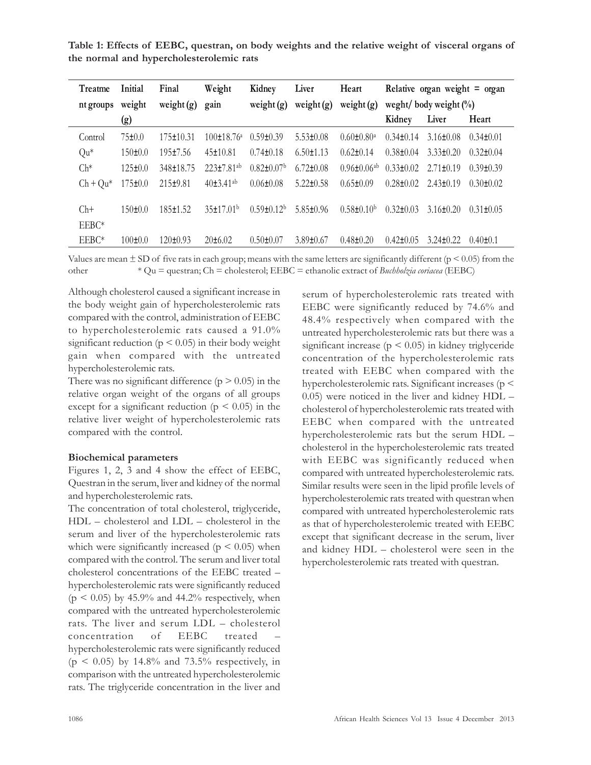Table 1: Effects of EEBC, questran, on body weights and the relative weight of visceral organs of the normal and hypercholesterolemic rats

| Treatme         | Initial       | Final           | Weight                | Kidney                       | Liver           | Heart                         | Relative organ weight $=$ organ |                 |                 |
|-----------------|---------------|-----------------|-----------------------|------------------------------|-----------------|-------------------------------|---------------------------------|-----------------|-----------------|
| nt groups       | weight        | weight $(g)$    | gain                  | weight $(g)$                 | weight $(g)$    | weight $(g)$                  | weght/ body weight $(\%)$       |                 |                 |
|                 | (g)           |                 |                       |                              |                 |                               | Kidney                          | Liver           | Heart           |
| Control         | 75±0.0        | $175 \pm 10.31$ | $100\pm18.76^{\circ}$ | $0.59 \pm 0.39$              | $5.53 \pm 0.08$ | $0.60 \pm 0.80^{\circ}$       | $0.34 \pm 0.14$                 | $3.16 \pm 0.08$ | $0.34 \pm 0.01$ |
| Qu <sup>*</sup> | $150 \pm 0.0$ | $195 \pm 7.56$  | $45 \pm 10.81$        | $0.74 \pm 0.18$              | $6.50 \pm 1.13$ | $0.62 \pm 0.14$               | $0.38 \pm 0.04$                 | $3.33 \pm 0.20$ | $0.32 \pm 0.04$ |
| $Ch^*$          | 125±0.0       | 348±18.75       | $223\pm7.81^{ab}$     | $0.82 \pm 0.07$ <sup>b</sup> | $6.72 \pm 0.08$ | $0.96 \pm 0.06$ <sup>ab</sup> | $0.33 \pm 0.02$                 | $2.71 \pm 0.19$ | $0.39\pm0.39$   |
| $Ch + Qu^*$     | $175 \pm 0.0$ | $215 \pm 9.81$  | $40\pm3.41^{ab}$      | $0.06 \pm 0.08$              | $5.22 \pm 0.58$ | $0.65 \pm 0.09$               | $0.28 + 0.02$                   | $2.43 \pm 0.19$ | $0.30 \pm 0.02$ |
| $Ch+$           | $150 \pm 0.0$ | 185±1.52        | 35±17.01 <sup>b</sup> | $0.59 \pm 0.12^b$            | $5.85 \pm 0.96$ | $0.58 \pm 0.10^b$             | $0.32 \pm 0.03$                 | $3.16 \pm 0.20$ | $0.31 \pm 0.05$ |
| EEBC*           |               |                 |                       |                              |                 |                               |                                 |                 |                 |
| EEBC*           | $100 \pm 0.0$ | $120 \pm 0.93$  | $20\pm 6.02$          | $0.50 \pm 0.07$              | $3.89 \pm 0.67$ | $0.48 \pm 0.20$               | $0.42 \pm 0.05$                 | $3.24 \pm 0.22$ | $0.40 \pm 0.1$  |

Values are mean  $\pm$  SD of five rats in each group; means with the same letters are significantly different ( $p \le 0.05$ ) from the other  $*$  Qu = questran; Ch = cholesterol; EEBC = ethanolic extract of *Buchholzia coriacea* (EEBC)

Although cholesterol caused a significant increase in the body weight gain of hypercholesterolemic rats compared with the control, administration of EEBC to hypercholesterolemic rats caused a 91.0% significant reduction ( $p \le 0.05$ ) in their body weight gain when compared with the untreated hypercholesterolemic rats.

There was no significant difference  $(p > 0.05)$  in the relative organ weight of the organs of all groups except for a significant reduction ( $p < 0.05$ ) in the relative liver weight of hypercholesterolemic rats compared with the control.

#### Biochemical parameters

Figures 1, 2, 3 and 4 show the effect of EEBC, Questran in the serum, liver and kidney of the normal and hypercholesterolemic rats.

The concentration of total cholesterol, triglyceride, HDL – cholesterol and LDL – cholesterol in the serum and liver of the hypercholesterolemic rats which were significantly increased ( $p < 0.05$ ) when compared with the control. The serum and liver total cholesterol concentrations of the EEBC treated – hypercholesterolemic rats were significantly reduced  $(p \le 0.05)$  by 45.9% and 44.2% respectively, when compared with the untreated hypercholesterolemic rats. The liver and serum LDL – cholesterol concentration of EEBC treated – hypercholesterolemic rats were significantly reduced  $(p \le 0.05)$  by 14.8% and 73.5% respectively, in comparison with the untreated hypercholesterolemic rats. The triglyceride concentration in the liver and serum of hypercholesterolemic rats treated with EEBC were significantly reduced by 74.6% and 48.4% respectively when compared with the untreated hypercholesterolemic rats but there was a significant increase ( $p < 0.05$ ) in kidney triglyceride concentration of the hypercholesterolemic rats treated with EEBC when compared with the hypercholesterolemic rats. Significant increases (p < 0.05) were noticed in the liver and kidney HDL – cholesterol of hypercholesterolemic rats treated with EEBC when compared with the untreated hypercholesterolemic rats but the serum HDL – cholesterol in the hypercholesterolemic rats treated with EEBC was significantly reduced when compared with untreated hypercholesterolemic rats. Similar results were seen in the lipid profile levels of hypercholesterolemic rats treated with questran when compared with untreated hypercholesterolemic rats as that of hypercholesterolemic treated with EEBC except that significant decrease in the serum, liver and kidney HDL – cholesterol were seen in the hypercholesterolemic rats treated with questran.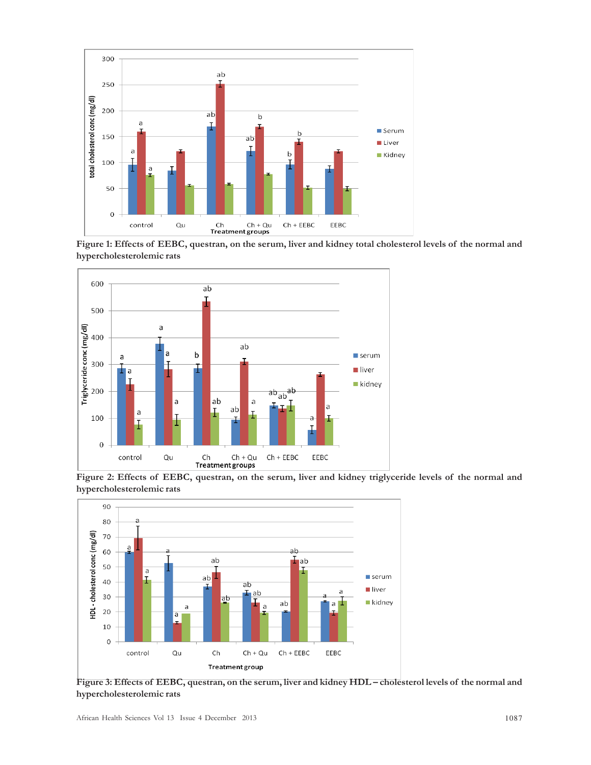

Figure 1: Effects of EEBC, questran, on the serum, liver and kidney total cholesterol levels of the normal and hypercholesterolemic rats



Figure 2: Effects of EEBC, questran, on the serum, liver and kidney triglyceride levels of the normal and hypercholesterolemic rats



Figure 3: Effects of EEBC, questran, on the serum, liver and kidney HDL – cholesterol levels of the normal and hypercholesterolemic rats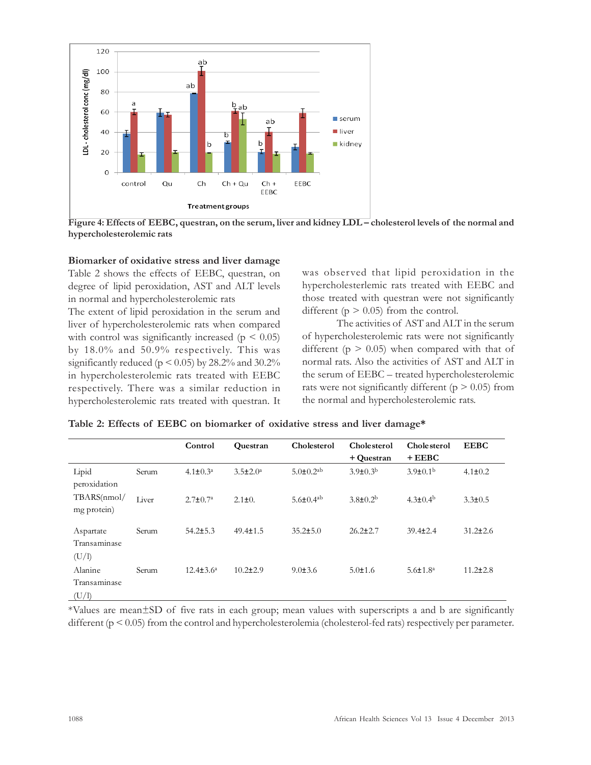

Figure 4: Effects of EEBC, questran, on the serum, liver and kidney LDL - cholesterol levels of the normal and hypercholesterolemic rats

## Biomarker of oxidative stress and liver damage

Table 2 shows the effects of EEBC, questran, on degree of lipid peroxidation, AST and ALT levels in normal and hypercholesterolemic rats

The extent of lipid peroxidation in the serum and liver of hypercholesterolemic rats when compared with control was significantly increased ( $p < 0.05$ ) by 18.0% and 50.9% respectively. This was significantly reduced ( $p \le 0.05$ ) by 28.2% and 30.2% in hypercholesterolemic rats treated with EEBC respectively. There was a similar reduction in hypercholesterolemic rats treated with questran. It was observed that lipid peroxidation in the hypercholesterlemic rats treated with EEBC and those treated with questran were not significantly different ( $p > 0.05$ ) from the control.

The activities of AST and ALT in the serum of hypercholesterolemic rats were not significantly different ( $p > 0.05$ ) when compared with that of normal rats. Also the activities of AST and ALT in the serum of EEBC – treated hypercholesterolemic rats were not significantly different ( $p > 0.05$ ) from the normal and hypercholesterolemic rats.

|                                           |       | Control               | Questran        | Cholesterol                 | Cholesterol           | Cholesterol           | <b>EEBC</b>    |
|-------------------------------------------|-------|-----------------------|-----------------|-----------------------------|-----------------------|-----------------------|----------------|
|                                           |       |                       |                 |                             | + Questran            | $+EEBC$               |                |
| Lipid<br>peroxidation                     | Serum | $4.1 \pm 0.3^a$       | $3.5 \pm 2.0^a$ | $5.0 \pm 0.2$ <sup>ab</sup> | $3.9 \pm 0.3^{\rm b}$ | $3.9 \pm 0.1^{\rm b}$ | $4.1 \pm 0.2$  |
| TBARS(nmol/<br>mg protein)                | Liver | $2.7 \pm 0.7^{\rm a}$ | $2.1 \pm 0.$    | $5.6 \pm 0.4$ <sup>ab</sup> | $3.8 \pm 0.2^b$       | $4.3 \pm 0.4^{\rm b}$ | $3.3 \pm 0.5$  |
| Aspartate<br>Transaminase                 | Serum | $54.2 \pm 5.3$        | $49.4 \pm 1.5$  | $35.2 \pm 5.0$              | $26.2 \pm 2.7$        | $39.4 \pm 2.4$        | $31.2 \pm 2.6$ |
| (U/I)<br>Alanine<br>Transaminase<br>(U/I) | Serum | $12.4 \pm 3.6^a$      | $10.2 \pm 2.9$  | $9.0 \pm 3.6$               | $5.0 \pm 1.6$         | $5.6 \pm 1.8^a$       | $11.2 \pm 2.8$ |

|  |  |  |  |  | Table 2: Effects of EEBC on biomarker of oxidative stress and liver damage* |  |  |  |  |  |  |
|--|--|--|--|--|-----------------------------------------------------------------------------|--|--|--|--|--|--|
|--|--|--|--|--|-----------------------------------------------------------------------------|--|--|--|--|--|--|

\*Values are mean±SD of five rats in each group; mean values with superscripts a and b are significantly different (p < 0.05) from the control and hypercholesterolemia (cholesterol-fed rats) respectively per parameter.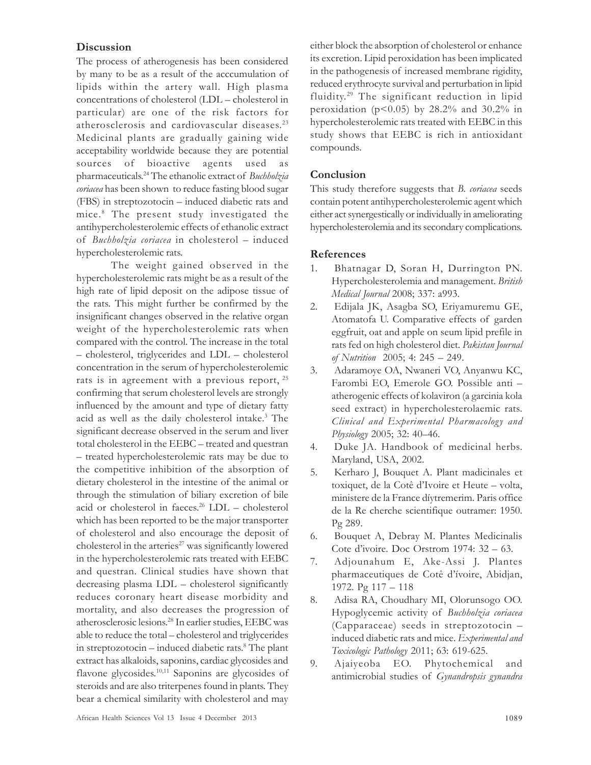## **Discussion**

The process of atherogenesis has been considered by many to be as a result of the acccumulation of lipids within the artery wall. High plasma concentrations of cholesterol (LDL – cholesterol in particular) are one of the risk factors for atherosclerosis and cardiovascular diseases. 23 Medicinal plants are gradually gaining wide acceptability worldwide because they are potential sources of bioactive agents used as pharmaceuticals.<sup>24</sup> The ethanolic extract of *Buchholzia* coriacea has been shown to reduce fasting blood sugar (FBS) in streptozotocin – induced diabetic rats and mice.<sup>8</sup> The present study investigated the antihypercholesterolemic effects of ethanolic extract of Buchholzia coriacea in cholesterol – induced hypercholesterolemic rats.

The weight gained observed in the hypercholesterolemic rats might be as a result of the high rate of lipid deposit on the adipose tissue of the rats. This might further be confirmed by the insignificant changes observed in the relative organ weight of the hypercholesterolemic rats when compared with the control. The increase in the total – cholesterol, triglycerides and LDL – cholesterol concentration in the serum of hypercholesterolemic rats is in agreement with a previous report,  $25$ confirming that serum cholesterol levels are strongly influenced by the amount and type of dietary fatty acid as well as the daily cholesterol intake.<sup>3</sup> The significant decrease observed in the serum and liver total cholesterol in the EEBC – treated and questran – treated hypercholesterolemic rats may be due to the competitive inhibition of the absorption of dietary cholesterol in the intestine of the animal or through the stimulation of biliary excretion of bile acid or cholesterol in faeces. <sup>26</sup> LDL – cholesterol which has been reported to be the major transporter of cholesterol and also encourage the deposit of cholesterol in the arteries $27$  was significantly lowered in the hypercholesterolemic rats treated with EEBC and questran. Clinical studies have shown that decreasing plasma LDL – cholesterol significantly reduces coronary heart disease morbidity and mortality, and also decreases the progression of atherosclerosic lesions. <sup>28</sup> In earlier studies, EEBC was able to reduce the total – cholesterol and triglycerides in streptozotocin – induced diabetic rats. 8 The plant extract has alkaloids, saponins, cardiac glycosides and flavone glycosides.<sup>10,11</sup> Saponins are glycosides of steroids and are also triterpenes found in plants. They bear a chemical similarity with cholesterol and may either block the absorption of cholesterol or enhance its excretion. Lipid peroxidation has been implicated in the pathogenesis of increased membrane rigidity, reduced erythrocyte survival and perturbation in lipid fluidity. <sup>29</sup> The significant reduction in lipid peroxidation ( $p<0.05$ ) by 28.2% and 30.2% in hypercholesterolemic rats treated with EEBC in this study shows that EEBC is rich in antioxidant compounds.

# Conclusion

This study therefore suggests that B. coriacea seeds contain potent antihypercholesterolemic agent which either act synergestically or individually in ameliorating hypercholesterolemia and its secondary complications.

## References

- 1. Bhatnagar D, Soran H, Durrington PN. Hypercholesterolemia and management. British Medical Journal 2008; 337: a993.
- 2. Edijala JK, Asagba SO, Eriyamuremu GE, Atomatofa U. Comparative effects of garden eggfruit, oat and apple on seum lipid prefile in rats fed on high cholesterol diet. Pakistan Journal of Nutrition 2005; 4: 245 – 249.
- 3. Adaramoye OA, Nwaneri VO, Anyanwu KC, Farombi EO, Emerole GO. Possible anti – atherogenic effects of kolaviron (a garcinia kola seed extract) in hypercholesterolaemic rats. Clinical and Experimental Pharmacology and Physiology 2005; 32: 40–46.
- 4. Duke JA. Handbook of medicinal herbs. Maryland, USA, 2002.
- 5. Kerharo J, Bouquet A. Plant madicinales et toxiquet, de la Cotê d'Ivoire et Heute – volta, ministere de la France díytremerim. Paris office de la Re cherche scientifique outramer: 1950. Pg 289.
- 6. Bouquet A, Debray M. Plantes Medicinalis Cote d'ivoire. Doc Orstrom 1974: 32 – 63.
- 7. Adjounahum E, Ake-Assi J. Plantes pharmaceutiques de Cotê d'ívoire, Abidjan, 1972. Pg 117 – 118
- 8. Adisa RA, Choudhary MI, Olorunsogo OO. Hypoglycemic activity of Buchholzia coriacea (Capparaceae) seeds in streptozotocin – induced diabetic rats and mice. Experimental and Toxicologic Pathology 2011; 63: 619-625.
- 9. Ajaiyeoba EO. Phytochemical and antimicrobial studies of Gynandropsis gynandra